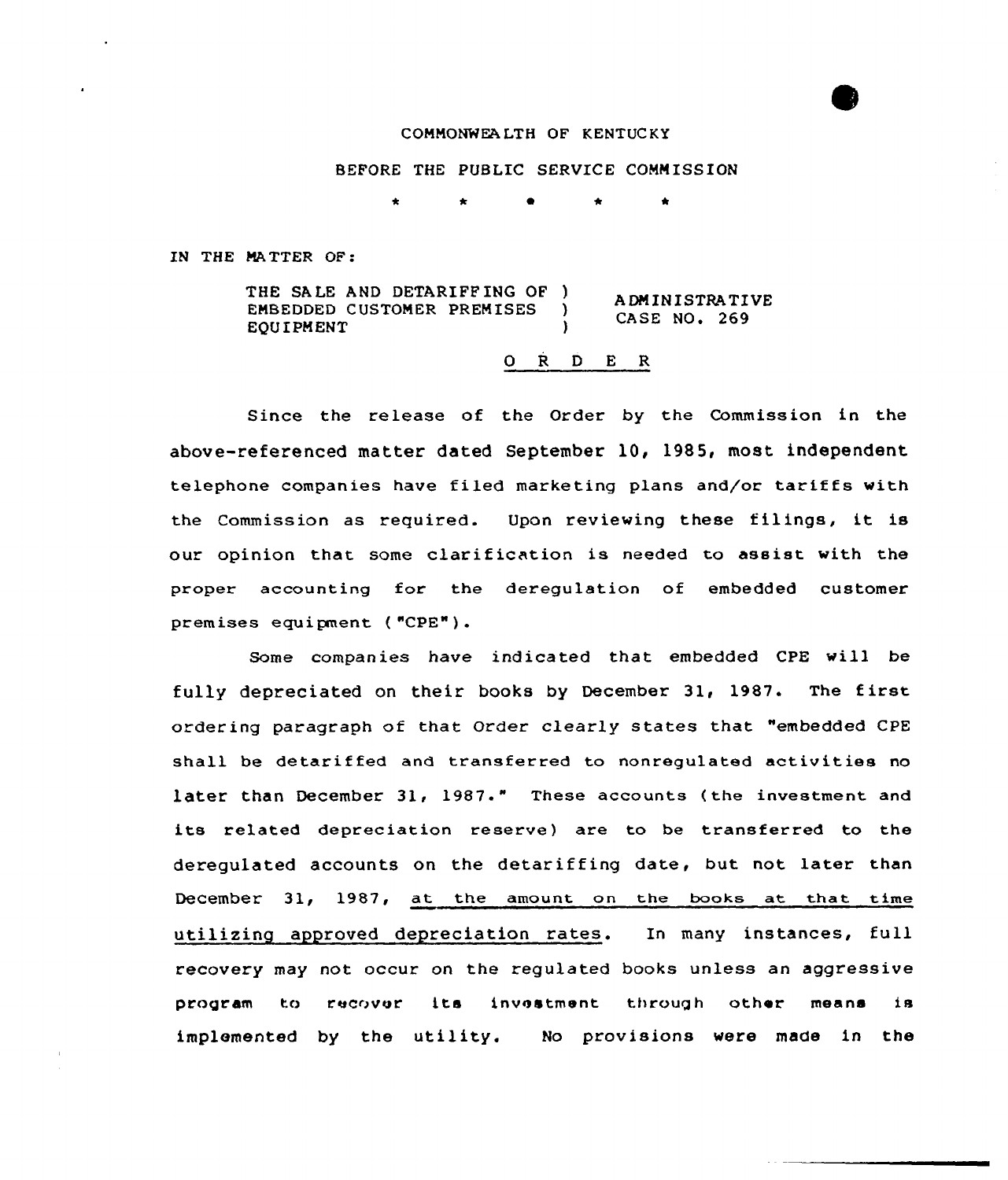## COMMONWEA LTH OF KENTUC KY

BEFORE THE PUBLIC SERVICE COMM ISSION

IN THE MA TTER OF:

THE SALE AND DETARIFFING OF )<br>EMBEDDED CUSTOMER PREMISES EMBEDDED CUSTOMER PREMISES **EQUIPMENT** ADMINISTRATIVE  $CASE NO. 269$ 

## 0 R <sup>D</sup> E R

Since the release of the Order by the Commission in the above-referenced matter dated September 10, 1985, most independent telephone companies have filed marketing plans and/or tariffs with the Commission as required. Upon reviewing these filings, it is our opinion that some clarif ication is needed to assist with the proper accounting for the deregulation of embedded customer premises equi pnent ( "CPE" ) .

Some companies have indicated that embedded CPE will be fully depreciated on their books by December 31, 1987. The first ordering paragraph of that Order clearly states that "embedded CPE shall be detariffed and transferred to nonregulated activities no later than December 31, 1987." These accounts (the investment and its related depreciation reserve} are to be transferred to the deregulated accounts on the detariffing date, but not later than December 31, 1987, at the amount on the books at that time utilizing approved depreciation rates. In many instances, full recovery may not occur on the regulated books unless an aggressive program to recover its investment through other means is implemented by the utility. No provisions were made in the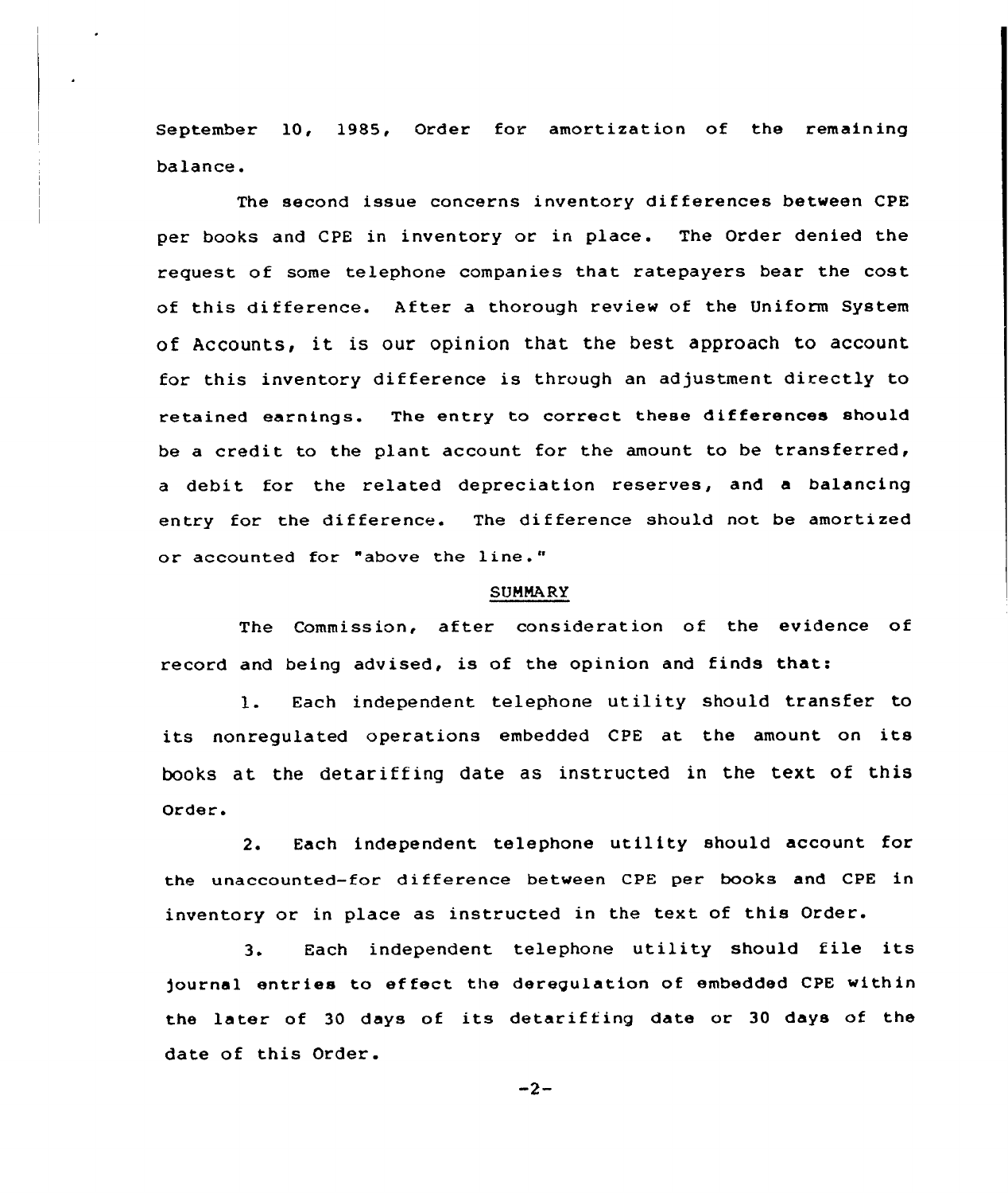September l0, 1985, Order for amortization of the remaining balance.

The second issue concerns inventory dif ferences between CPE per books and CPE in inventory or in place. The Order denied the request of some telephone companies that ratepayers bear the cost of this difference. After a thorough review of the Uniform System of Accounts, it is our opinion that the best approach to account for this inventory difference is through an adjustment directly to retained earnings. The entry to correct these differences should be a credit to the plant account for the amount to be transferred, a debit for the related depreciation reserves, and a balancing entry for the difference. The difference should not be amortized or accounted for "above the line."

## SUMMARY

The Commission, after consideration of the evidence of record and being advised, is of the opinion and finds that:

l. Each independent telephone utility should transfer to its nonregulated operations embedded CPE at the amount on its books at the detariffing date as instructed in the text of this Order.

2. Each independent telephone utility should account for the unaccounted-for di fference between CPE per books and CPE in inventory or in place as instructed in the text of this Order.

3. Each independent telephone utility should file its )ournal entries to ef feet the deregulation of embedded CPE within the later of 30 days of its detariffing date or 30 days of the date of this Order.

 $-2-$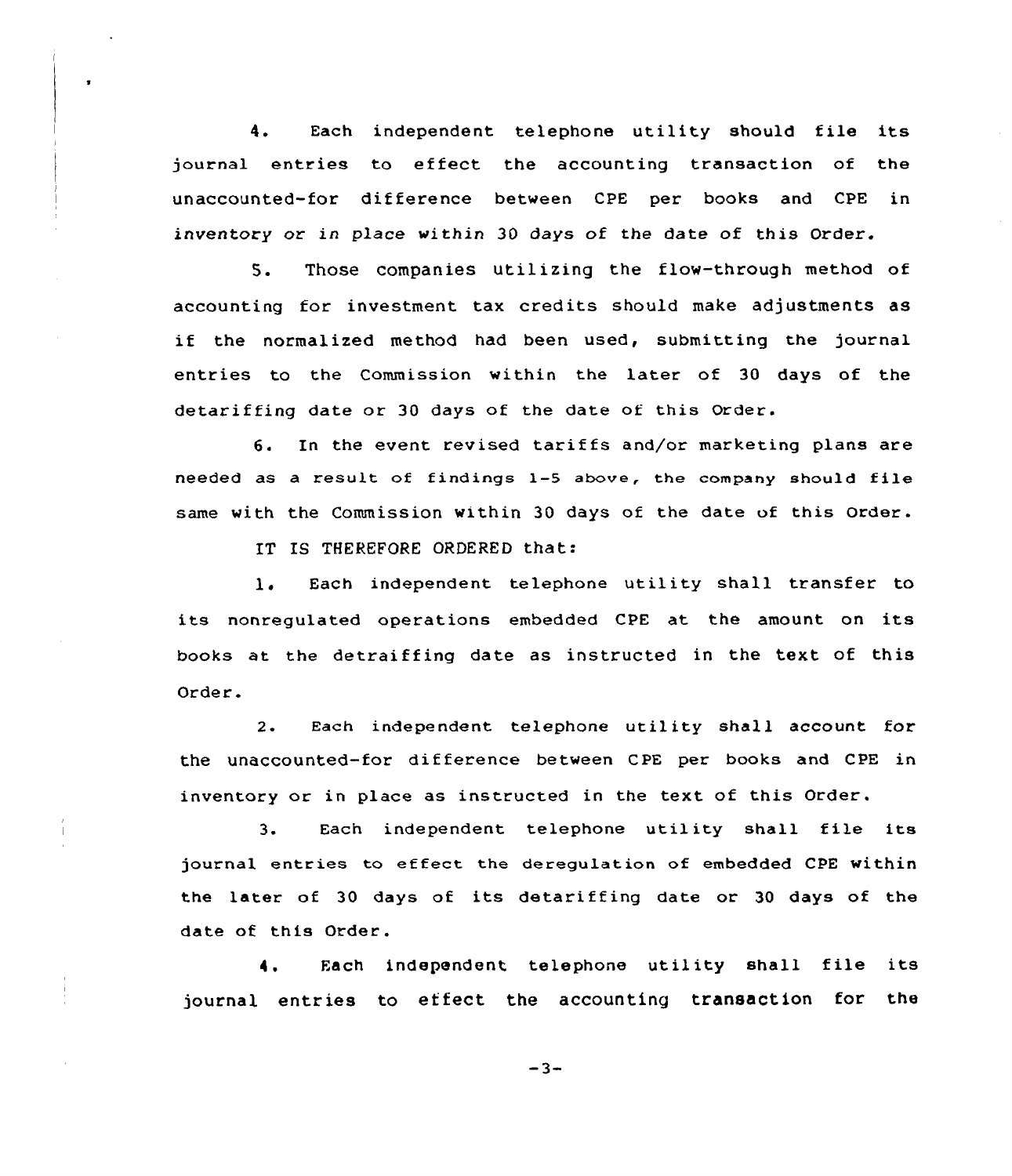4. Each independent telephone utility should file its journal entries to effect the accounting transaction of the unaccounted-for difference between CPE per books and CPE in inventory or in place within 30 days of the date of this Order.

5. Those companies utilizing the flow-through method of accounting for investment tax credits should make adjustments as if the normalized method had been used, submitting the journal entries to the Commission within the later of 30 days of the detari ffing date or 30 days of the date of this Order.

6. In the event revised tariffs and/or marketing plans are needed as <sup>a</sup> result of findings 1-5 above, the company should file same with the Commission within 30 days of the date of this order.

IT IS THEREFORE ORDERED that:

l, Each independent telephone utility shall transfer to its nonregulated operations embedded CPE at the amount on its books at the detraiffing date as instructed in the text of this Or der.

2. Each independent telephone utility shall account for the unaccounted-for difference between CPE per books and CPE in inventory or in place as instructed in the text of this Order.

3. Each independent telephone utility shall file its journal entries to effect the deregulation of embedded CPE within the later of 30 days of its detariffing date or 30 days of the date of this Order.

Each independent telephone utility shall file its 4. journal entries to effect the accounting transaction for the

 $-3-$